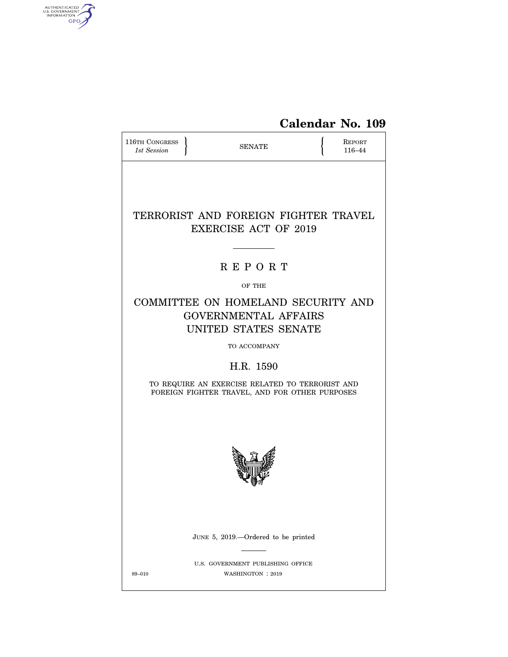

| <b>116TH CONGRESS</b><br>1st Session | <b>SENATE</b>                                                                                                  |  | <b>REPORT</b><br>116-44 |
|--------------------------------------|----------------------------------------------------------------------------------------------------------------|--|-------------------------|
|                                      | TERRORIST AND FOREIGN FIGHTER TRAVEL<br><b>EXERCISE ACT OF 2019</b>                                            |  |                         |
|                                      | <b>REPORT</b>                                                                                                  |  |                         |
|                                      | OF THE                                                                                                         |  |                         |
|                                      | COMMITTEE ON HOMELAND SECURITY AND<br><b>GOVERNMENTAL AFFAIRS</b><br>UNITED STATES SENATE                      |  |                         |
|                                      | TO ACCOMPANY                                                                                                   |  |                         |
|                                      | H.R. 1590<br>TO REQUIRE AN EXERCISE RELATED TO TERRORIST AND<br>FOREIGN FIGHTER TRAVEL, AND FOR OTHER PURPOSES |  |                         |
|                                      |                                                                                                                |  |                         |
|                                      | JUNE 5, 2019.—Ordered to be printed                                                                            |  |                         |
| 89-010                               | U.S. GOVERNMENT PUBLISHING OFFICE<br>WASHINGTON : 2019                                                         |  |                         |

AUTHENTICATED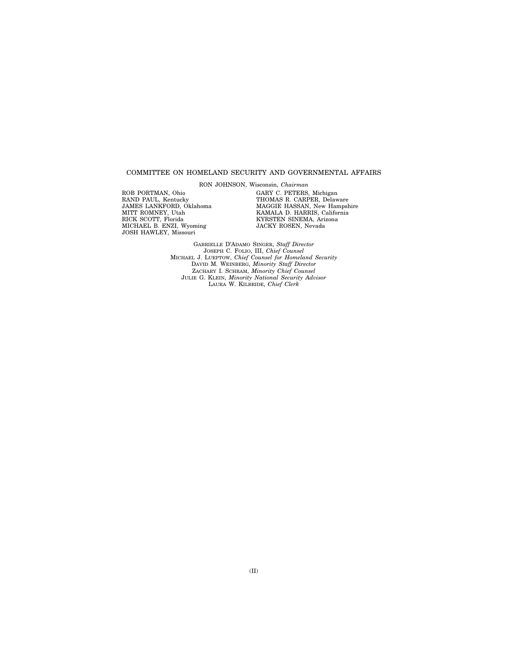#### COMMITTEE ON HOMELAND SECURITY AND GOVERNMENTAL AFFAIRS

RON JOHNSON, Wisconsin, *Chairman* 

ROB PORTMAN, Ohio RAND PAUL, Kentucky JAMES LANKFORD, Oklahoma MITT ROMNEY, Utah RICK SCOTT, Florida MICHAEL B. ENZI, Wyoming JOSH HAWLEY, Missouri

GARY C. PETERS, Michigan THOMAS R. CARPER, Delaware MAGGIE HASSAN, New Hampshire KAMALA D. HARRIS, California KYRSTEN SINEMA, Arizona JACKY ROSEN, Nevada

GABRIELLE D'ADAMO SINGER, *Staff Director*  JOSEPH C. FOLIO, III, *Chief Counsel*  MICHAEL J. LUEPTOW, *Chief Counsel for Homeland Security*  DAVID M. WEINBERG, *Minority Staff Director*  ZACHARY I. SCHRAM, *Minority Chief Counsel*  JULIE G. KLEIN, *Minority National Security Advisor*  LAURA W. KILBRIDE, *Chief Clerk*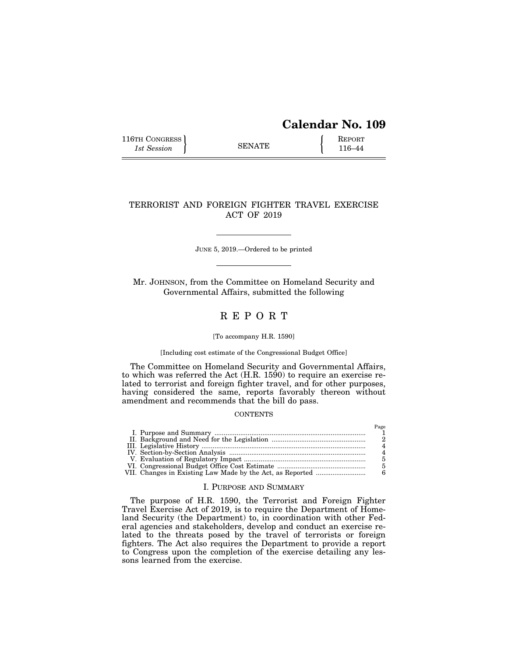# **Calendar No. 109**

116TH CONGRESS **REPORT** 116-44

## TERRORIST AND FOREIGN FIGHTER TRAVEL EXERCISE ACT OF 2019

JUNE 5, 2019.—Ordered to be printed

Mr. JOHNSON, from the Committee on Homeland Security and Governmental Affairs, submitted the following

## R E P O R T

#### [To accompany H.R. 1590]

### [Including cost estimate of the Congressional Budget Office]

The Committee on Homeland Security and Governmental Affairs, to which was referred the Act (H.R. 1590) to require an exercise related to terrorist and foreign fighter travel, and for other purposes, having considered the same, reports favorably thereon without amendment and recommends that the bill do pass.

### **CONTENTS**

### I. PURPOSE AND SUMMARY

The purpose of H.R. 1590, the Terrorist and Foreign Fighter Travel Exercise Act of 2019, is to require the Department of Homeland Security (the Department) to, in coordination with other Federal agencies and stakeholders, develop and conduct an exercise related to the threats posed by the travel of terrorists or foreign fighters. The Act also requires the Department to provide a report to Congress upon the completion of the exercise detailing any lessons learned from the exercise.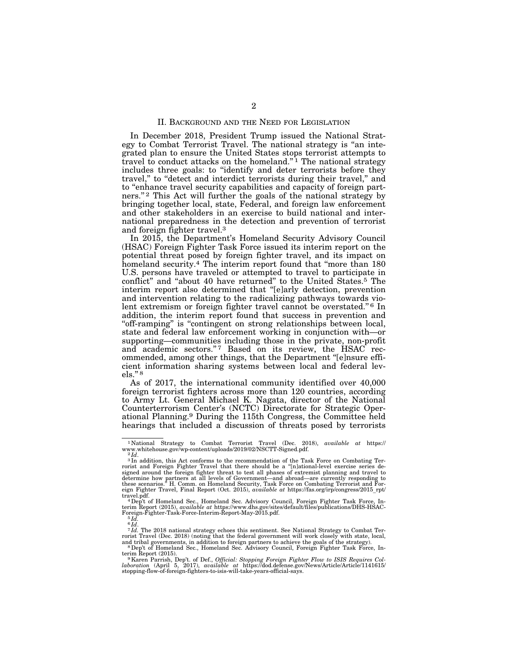### II. BACKGROUND AND THE NEED FOR LEGISLATION

In December 2018, President Trump issued the National Strategy to Combat Terrorist Travel. The national strategy is ''an integrated plan to ensure the United States stops terrorist attempts to travel to conduct attacks on the homeland."<sup>1</sup> The national strategy includes three goals: to ''identify and deter terrorists before they travel," to "detect and interdict terrorists during their travel," and to ''enhance travel security capabilities and capacity of foreign partners."<sup>2</sup> This Act will further the goals of the national strategy by bringing together local, state, Federal, and foreign law enforcement and other stakeholders in an exercise to build national and international preparedness in the detection and prevention of terrorist and foreign fighter travel.3

In 2015, the Department's Homeland Security Advisory Council (HSAC) Foreign Fighter Task Force issued its interim report on the potential threat posed by foreign fighter travel, and its impact on homeland security.<sup>4</sup> The interim report found that "more than 180 U.S. persons have traveled or attempted to travel to participate in conflict'' and ''about 40 have returned'' to the United States.5 The interim report also determined that ''[e]arly detection, prevention and intervention relating to the radicalizing pathways towards violent extremism or foreign fighter travel cannot be overstated."<sup>6</sup> In addition, the interim report found that success in prevention and "off-ramping" is "contingent on strong relationships between local, state and federal law enforcement working in conjunction with—or supporting—communities including those in the private, non-profit and academic sectors."7 Based on its review, the HSAC recommended, among other things, that the Department ''[e]nsure efficient information sharing systems between local and federal levels."<sup>8</sup>

As of 2017, the international community identified over 40,000 foreign terrorist fighters across more than 120 countries, according to Army Lt. General Michael K. Nagata, director of the National Counterterrorism Center's (NCTC) Directorate for Strategic Operational Planning.9 During the 115th Congress, the Committee held hearings that included a discussion of threats posed by terrorists

<sup>1</sup> National Strategy to Combat Terrorist Travel (Dec. 2018), *available at* https://

www.whitehouse.gov/wp-content/uploads/2019/02/NSCTT-Signed.pdf.<br><sup>2</sup>Id. and ition, this Act conforms to the recommendation of the Task Force on Combating Ter-<br><sup>3</sup>In addition, this Act conforms to the recommendation of the T signed around the foreign fighter threat to test all phases of extremist planning and travel to determine how partners at all levels of Government—and abroad—are currently responding to these scenarios.'' H. Comm. on Homeland Security, Task Force on Combating Terrorist and Foreign Fighter Travel, Final Report (Oct. 2015), *available at* https://fas.org/irp/congress/2015\_rpt/

travel.pdf. 4Dep't of Homeland Sec., Homeland Sec. Advisory Council, Foreign Fighter Task Force, In-<br>4Dep't of Homeland Sec., Homeland Sec. Advisory Council, Foreign Fighter Task Force, Interim Report (2015), *available at* https://www.dhs.gov/sites/default/files/publications/DHS-HSAC-<br>Foreign-Fighter-Task-Force-Interim-Report-May-2015.pdf.<br><sup>5</sup> *Id.* 

<sup>6</sup> *Id*. 7 *Id.* The 2018 national strategy echoes this sentiment. See National Strategy to Combat Terrorist Travel (Dec. 2018) (noting that the federal government will work closely with state, local,

and tribal governments, in addition to foreign partners to achieve the goals of the strategy). <sup>8</sup>Dep't of Homeland Sec., Homeland Sec. Advisory Council, Foreign Fighter Task Force, Interim Report (2015).

terim Report (2015).<br><sup>9</sup> Karen Parrish, Dep't. of Def., *Official: Stopping Foreign Fighter Flow to ISIS Requires Collaboration*<br>laboration (April 5, 2017), available at https://dod.defense.gov/News/Article/Article/1141615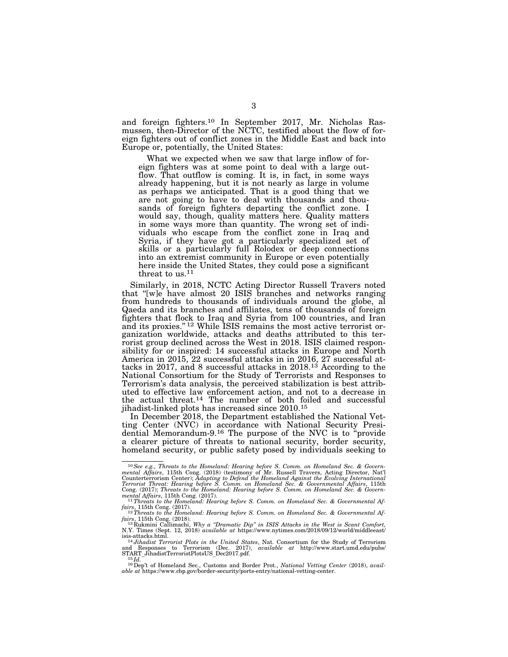and foreign fighters.10 In September 2017, Mr. Nicholas Rasmussen, then-Director of the NCTC, testified about the flow of foreign fighters out of conflict zones in the Middle East and back into Europe or, potentially, the United States:

What we expected when we saw that large inflow of foreign fighters was at some point to deal with a large outflow. That outflow is coming. It is, in fact, in some ways already happening, but it is not nearly as large in volume as perhaps we anticipated. That is a good thing that we are not going to have to deal with thousands and thousands of foreign fighters departing the conflict zone. I would say, though, quality matters here. Quality matters in some ways more than quantity. The wrong set of individuals who escape from the conflict zone in Iraq and Syria, if they have got a particularly specialized set of skills or a particularly full Rolodex or deep connections into an extremist community in Europe or even potentially here inside the United States, they could pose a significant threat to us.<sup>11</sup>

Similarly, in 2018, NCTC Acting Director Russell Travers noted that ''[w]e have almost 20 ISIS branches and networks ranging from hundreds to thousands of individuals around the globe, al Qaeda and its branches and affiliates, tens of thousands of foreign fighters that flock to Iraq and Syria from 100 countries, and Iran and its proxies."<sup>12</sup> While ISIS remains the most active terrorist organization worldwide, attacks and deaths attributed to this terrorist group declined across the West in 2018. ISIS claimed responsibility for or inspired: 14 successful attacks in Europe and North America in 2015, 22 successful attacks in in 2016, 27 successful attacks in 2017, and 8 successful attacks in 2018.13 According to the National Consortium for the Study of Terrorists and Responses to Terrorism's data analysis, the perceived stabilization is best attributed to effective law enforcement action, and not to a decrease in the actual threat.14 The number of both foiled and successful jihadist-linked plots has increased since 2010.15

In December 2018, the Department established the National Vetting Center (NVC) in accordance with National Security Presidential Memorandum-9.16 The purpose of the NVC is to ''provide a clearer picture of threats to national security, border security, homeland security, or public safety posed by individuals seeking to

<sup>10</sup>*See e.g., Threats to the Homeland: Hearing before S. Comm. on Homeland Sec. & Govern*mental Affairs, 115th Cong. (2018) (testimony of Mr. Russell Travers, Acting Director, Nat'l<br>Counterterrorism Center); Adapting to Defend the Homeland Against the Evolving International<br>Terrorist Threat: Hearing before S. Cong. (2017); *Threats to the Homeland: Hearing before S. Comm. on Homeland Sec. & Governmental Affairs*, 115th Cong. (2017). 11*Threats to the Homeland: Hearing before S. Comm. on Homeland Sec. & Governmental Af-*

*fairs*, 115th Cong. (2017).<br>
<sup>12</sup>*Threats to the Homeland: Hearing before S. Comm. on Homeland Sec. & Governmental Af-*

fairs, 115th Cong. (2018).<br>
<sup>13</sup> Rukmini Callimachi, Why a "Dramatic Dip" in ISIS Attacks in the West is Scant Comfort,<br>
N.Y. Times (Sept. 12, 2018) available at https://www.nytimes.com/2018/09/12/world/middleeast/<br>
isis-

<sup>&</sup>lt;sup>16</sup>Dep't of Homeland Sec., Customs and Border Prot., *National Vetting Center* (2018), *available at* https://www.cbp.gov/border-security/ports-entry/national-vetting-center.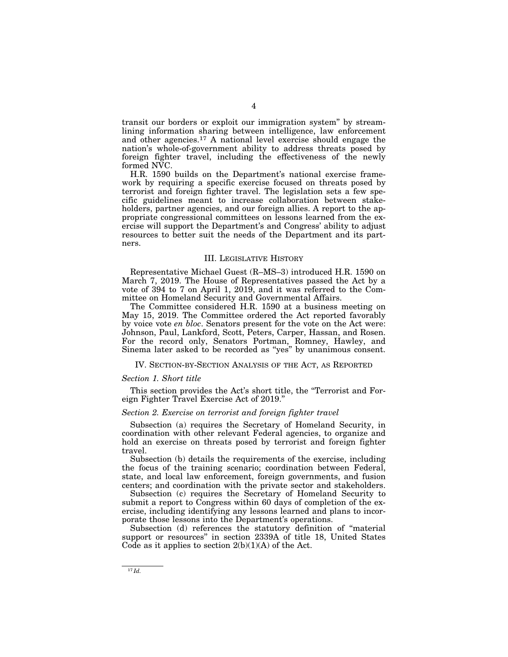transit our borders or exploit our immigration system'' by streamlining information sharing between intelligence, law enforcement and other agencies.17 A national level exercise should engage the nation's whole-of-government ability to address threats posed by foreign fighter travel, including the effectiveness of the newly formed NVC.

H.R. 1590 builds on the Department's national exercise framework by requiring a specific exercise focused on threats posed by terrorist and foreign fighter travel. The legislation sets a few specific guidelines meant to increase collaboration between stakeholders, partner agencies, and our foreign allies. A report to the appropriate congressional committees on lessons learned from the exercise will support the Department's and Congress' ability to adjust resources to better suit the needs of the Department and its partners.

#### III. LEGISLATIVE HISTORY

Representative Michael Guest (R–MS–3) introduced H.R. 1590 on March 7, 2019. The House of Representatives passed the Act by a vote of 394 to 7 on April 1, 2019, and it was referred to the Committee on Homeland Security and Governmental Affairs.

The Committee considered H.R. 1590 at a business meeting on May 15, 2019. The Committee ordered the Act reported favorably by voice vote *en bloc*. Senators present for the vote on the Act were: Johnson, Paul, Lankford, Scott, Peters, Carper, Hassan, and Rosen. For the record only, Senators Portman, Romney, Hawley, and Sinema later asked to be recorded as ''yes'' by unanimous consent.

IV. SECTION-BY-SECTION ANALYSIS OF THE ACT, AS REPORTED

#### *Section 1. Short title*

This section provides the Act's short title, the ''Terrorist and Foreign Fighter Travel Exercise Act of 2019.''

#### *Section 2. Exercise on terrorist and foreign fighter travel*

Subsection (a) requires the Secretary of Homeland Security, in coordination with other relevant Federal agencies, to organize and hold an exercise on threats posed by terrorist and foreign fighter travel.

Subsection (b) details the requirements of the exercise, including the focus of the training scenario; coordination between Federal, state, and local law enforcement, foreign governments, and fusion centers; and coordination with the private sector and stakeholders.

Subsection (c) requires the Secretary of Homeland Security to submit a report to Congress within 60 days of completion of the exercise, including identifying any lessons learned and plans to incorporate those lessons into the Department's operations.

Subsection (d) references the statutory definition of ''material support or resources'' in section 2339A of title 18, United States Code as it applies to section  $2(b)(1)(A)$  of the Act.

 $17$   $Id.$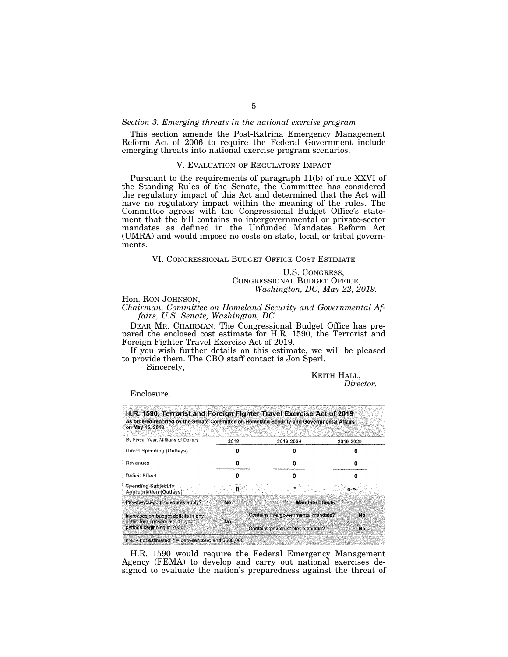#### *Section 3. Emerging threats in the national exercise program*

This section amends the Post-Katrina Emergency Management Reform Act of 2006 to require the Federal Government include emerging threats into national exercise program scenarios.

#### V. EVALUATION OF REGULATORY IMPACT

Pursuant to the requirements of paragraph 11(b) of rule XXVI of the Standing Rules of the Senate, the Committee has considered the regulatory impact of this Act and determined that the Act will have no regulatory impact within the meaning of the rules. The Committee agrees with the Congressional Budget Office's statement that the bill contains no intergovernmental or private-sector mandates as defined in the Unfunded Mandates Reform Act (UMRA) and would impose no costs on state, local, or tribal governments.

### VI. CONGRESSIONAL BUDGET OFFICE COST ESTIMATE

U.S. CONGRESS, CONGRESSIONAL BUDGET OFFICE, *Washington, DC, May 22, 2019.* 

#### Hon. RON JOHNSON,

*Chairman, Committee on Homeland Security and Governmental Affairs, U.S. Senate, Washington, DC.* 

DEAR MR. CHAIRMAN: The Congressional Budget Office has prepared the enclosed cost estimate for H.R. 1590, the Terrorist and Foreign Fighter Travel Exercise Act of 2019.

If you wish further details on this estimate, we will be pleased to provide them. The CBO staff contact is Jon Sperl.

Sincerely,

KEITH HALL, *Director.* 

#### Enclosure.

| on May 15, 2019                                                         |      | H.R. 1590, Terrorist and Foreign Fighter Travel Exercise Act of 2019<br>As ordered reported by the Senate Committee on Homeland Security and Governmental Affairs |           |
|-------------------------------------------------------------------------|------|-------------------------------------------------------------------------------------------------------------------------------------------------------------------|-----------|
| By Fiscal Year, Millions of Dollars                                     | 2019 | 2019-2024                                                                                                                                                         | 2019-2029 |
| Direct Spending (Outlays)                                               |      |                                                                                                                                                                   |           |
| Revenues                                                                |      |                                                                                                                                                                   |           |
| Deficit Effect                                                          |      |                                                                                                                                                                   |           |
| Spending Subject to<br>Appropriation (Outlays)                          | 0.   |                                                                                                                                                                   | n.e.      |
| Pay-as-you-go procedures apply?                                         | No   | <b>Mandate Effects</b>                                                                                                                                            |           |
| Increases on-budget deficits in any<br>of the four consecutive 10-year. | No   | Contains intergovernmental mandate?                                                                                                                               | No        |
| periods beginning in 2030?                                              |      | Contains private-sector mandate?                                                                                                                                  | No.       |

H.R. 1590 would require the Federal Emergency Management Agency (FEMA) to develop and carry out national exercises designed to evaluate the nation's preparedness against the threat of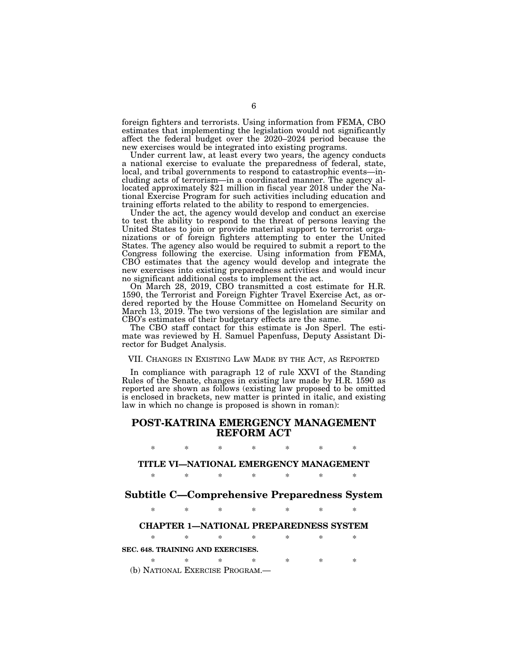foreign fighters and terrorists. Using information from FEMA, CBO estimates that implementing the legislation would not significantly affect the federal budget over the 2020–2024 period because the new exercises would be integrated into existing programs.

Under current law, at least every two years, the agency conducts a national exercise to evaluate the preparedness of federal, state, local, and tribal governments to respond to catastrophic events—including acts of terrorism—in a coordinated manner. The agency allocated approximately \$21 million in fiscal year 2018 under the National Exercise Program for such activities including education and training efforts related to the ability to respond to emergencies.

Under the act, the agency would develop and conduct an exercise to test the ability to respond to the threat of persons leaving the United States to join or provide material support to terrorist organizations or of foreign fighters attempting to enter the United States. The agency also would be required to submit a report to the Congress following the exercise. Using information from FEMA, CBO estimates that the agency would develop and integrate the new exercises into existing preparedness activities and would incur no significant additional costs to implement the act.

On March 28, 2019, CBO transmitted a cost estimate for H.R. 1590, the Terrorist and Foreign Fighter Travel Exercise Act, as ordered reported by the House Committee on Homeland Security on March 13, 2019. The two versions of the legislation are similar and CBO's estimates of their budgetary effects are the same.

The CBO staff contact for this estimate is Jon Sperl. The estimate was reviewed by H. Samuel Papenfuss, Deputy Assistant Director for Budget Analysis.

#### VII. CHANGES IN EXISTING LAW MADE BY THE ACT, AS REPORTED

In compliance with paragraph 12 of rule XXVI of the Standing Rules of the Senate, changes in existing law made by H.R. 1590 as reported are shown as follows (existing law proposed to be omitted is enclosed in brackets, new matter is printed in italic, and existing law in which no change is proposed is shown in roman):

## **POST-KATRINA EMERGENCY MANAGEMENT REFORM ACT**

## \* \* \* \* \* \* \*

## **TITLE VI—NATIONAL EMERGENCY MANAGEMENT**

\* \* \* \* \* \* \*

## **Subtitle C—Comprehensive Preparedness System**

\* \* \* \* \* \* \*

### **CHAPTER 1—NATIONAL PREPAREDNESS SYSTEM**

\* \* \* \* \* \* \* **SEC. 648. TRAINING AND EXERCISES.** 

\* \* \* \* \* \* \* (b) NATIONAL EXERCISE PROGRAM.—